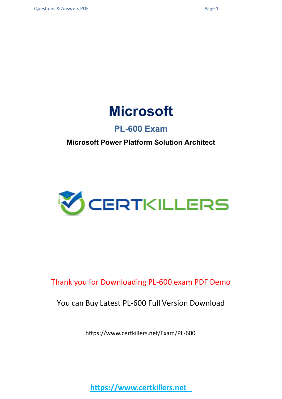

### **PL-600 Exam**

#### **Microsoft Power Platform Solution Architect**



### Thank you for Downloading PL-600 exam PDF Demo

#### You can Buy Latest PL-600 Full Version Download

https://www.certkillers.net/Exam/PL-600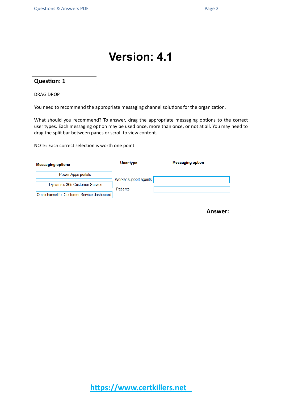## **Version: 4.1**

#### **Question: 1**

DRAG DROP

You need to recommend the appropriate messaging channel solutions for the organization.

What should you recommend? To answer, drag the appropriate messaging options to the correct user types. Each messaging option may be used once, more than once, or not at all. You may need to drag the split bar between panes or scroll to view content.

NOTE: Each correct selection is worth one point.

| <b>Messaging options</b>                   | User type             | <b>Messaging option</b> |
|--------------------------------------------|-----------------------|-------------------------|
| Power Apps portals                         | Worker support agents |                         |
| Dynamics 365 Customer Service              | <b>Patients</b>       |                         |
| Omnichannel for Customer Service dashboard |                       |                         |

**Answer:**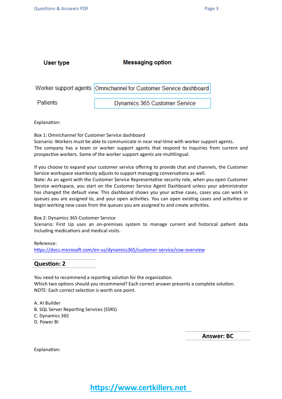| User type | <b>Messaging option</b>                                           |  |
|-----------|-------------------------------------------------------------------|--|
|           |                                                                   |  |
|           | Worker support agents  Omnichannel for Customer Service dashboard |  |

**Patients** 

 $\ddot{\phantom{0}}$ 

Dynamics 365 Customer Service

Explanation:

Box 1: Omnichannel for Customer Service dashboard

Scenario: Workers must be able to communicate in near real-time with worker support agents. The company has a team or worker support agents that respond to inquiries from current and prospective workers. Some of the worker support agents are multilingual.

If you choose to expand your customer service offering to provide chat and channels, the Customer Service workspace seamlessly adjusts to support managing conversations as well.

Note: As an agent with the Customer Service Representative security role, when you open Customer Service workspace, you start on the Customer Service Agent Dashboard unless your administrator has changed the default view. This dashboard shows you your active cases, cases you can work in queues you are assigned to, and your open activities. You can open existing cases and activities or begin working new cases from the queues you are assigned to and create activities.

#### Box 2: Dynamics 365 Customer Service

Scenario: First Up uses an on-premises system to manage current and historical patient data including medications and medical visits.

Reference:

<https://docs.microsoft.com/en-us/dynamics365/customer-service/csw-overview>

**Question: 2**

You need to recommend a reporting solution for the organization. Which two options should you recommend? Each correct answer presents a complete solution. NOTE: Each correct selection is worth one point.

A. AI Builder

- B. SQL Server Reporting Services (SSRS)
- C. Dynamics 365
- D. Power BI

**Answer: BC**

Explanation: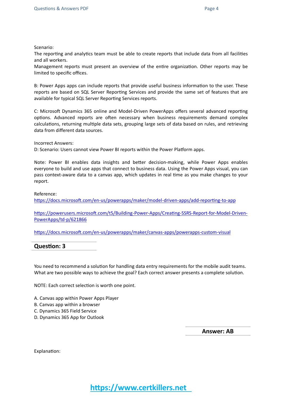Scenario:

The reporting and analytics team must be able to create reports that include data from all facilities and all workers.

Management reports must present an overview of the entire organization. Other reports may be limited to specific offices.

B: Power Apps apps can include reports that provide useful business information to the user. These reports are based on SQL Server Reporting Services and provide the same set of features that are available for typical SQL Server Reporting Services reports.

C: Microsoft Dynamics 365 online and Model-Driven PowerApps offers several advanced reporting options. Advanced reports are often necessary when business requirements demand complex calculations, returning multiple data sets, grouping large sets of data based on rules, and retrieving data from different data sources.

Incorrect Answers:

D: Scenario: Users cannot view Power BI reports within the Power Platform apps.

Note: Power BI enables data insights and better decision-making, while Power Apps enables everyone to build and use apps that connect to business data. Using the Power Apps visual, you can pass context-aware data to a canvas app, which updates in real time as you make changes to your report.

Reference:

<https://docs.microsoft.com/en-us/powerapps/maker/model-driven-apps/add-reporting-to-app>

[https://powerusers.microsoft.com/t5/Building-Power-Apps/Creating-SSRS-Report-for-Model-Driven-](https://powerusers.microsoft.com/t5/Building-Power-Apps/Creating-SSRS-Report-for-Model-Driven-PowerApps/td-p/621866)[PowerApps/td-p/621866](https://powerusers.microsoft.com/t5/Building-Power-Apps/Creating-SSRS-Report-for-Model-Driven-PowerApps/td-p/621866)

<https://docs.microsoft.com/en-us/powerapps/maker/canvas-apps/powerapps-custom-visual>

**Question: 3**

You need to recommend a solution for handling data entry requirements for the mobile audit teams. What are two possible ways to achieve the goal? Each correct answer presents a complete solution.

NOTE: Each correct selection is worth one point.

- A. Canvas app within Power Apps Player
- B. Canvas app within a browser
- C. Dynamics 365 Field Service
- D. Dynamics 365 App for Outlook

**Answer: AB**

Explanation: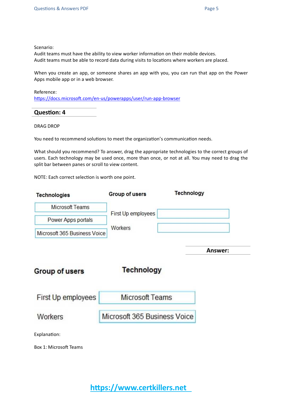Scenario:

Audit teams must have the ability to view worker information on their mobile devices. Audit teams must be able to record data during visits to locations where workers are placed.

When you create an app, or someone shares an app with you, you can run that app on the Power Apps mobile app or in a web browser.

Reference: <https://docs.microsoft.com/en-us/powerapps/user/run-app-browser>

**Question: 4**

DRAG DROP

You need to recommend solutions to meet the organization's communication needs.

What should you recommend? To answer, drag the appropriate technologies to the correct groups of users. Each technology may be used once, more than once, or not at all. You may need to drag the split bar between panes or scroll to view content.

NOTE: Each correct selection is worth one point.

| <b>Technologies</b>          | Group of users               | <b>Technology</b> |
|------------------------------|------------------------------|-------------------|
| <b>Microsoft Teams</b>       |                              |                   |
| Power Apps portals           | First Up employees           |                   |
| Microsoft 365 Business Voice | Workers                      |                   |
|                              |                              | Answer:           |
| Group of users               | <b>Technology</b>            |                   |
| First Up employees           | <b>Microsoft Teams</b>       |                   |
| Workers                      | Microsoft 365 Business Voice |                   |
| Explanation:                 |                              |                   |
| Box 1: Microsoft Teams       |                              |                   |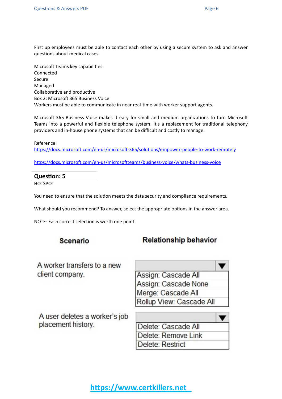First up employees must be able to contact each other by using a secure system to ask and answer questions about medical cases.

Microsoft Teams key capabilities: Connected Secure Managed Collaborative and productive Box 2: Microsoft 365 Business Voice Workers must be able to communicate in near real-time with worker support agents.

Microsoft 365 Business Voice makes it easy for small and medium organizations to turn Microsoft Teams into a powerful and flexible telephone system. It's a replacement for traditional telephony providers and in-house phone systems that can be difficult and costly to manage.

Reference:

<https://docs.microsoft.com/en-us/microsoft-365/solutions/empower-people-to-work-remotely>

<https://docs.microsoft.com/en-us/microsoftteams/business-voice/whats-business-voice>

#### **Question: 5**

HOTSPOT

You need to ensure that the solution meets the data security and compliance requirements.

What should you recommend? To answer, select the appropriate options in the answer area.

NOTE: Each correct selection is worth one point.

#### Scenario

#### **Relationship behavior**

A worker transfers to a new client company.

Assign: Cascade All Assign: Cascade None Merge: Cascade All Rollup View: Cascade All

A user deletes a worker's job placement history.

| Delete: Cascade All |  |
|---------------------|--|
| Delete: Remove Link |  |
| Delete: Restrict    |  |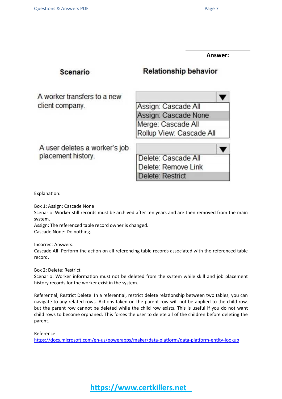**Answer:**

| Scenario                      | <b>Relationship behavior</b> |  |  |
|-------------------------------|------------------------------|--|--|
| A worker transfers to a new   |                              |  |  |
| client company.               | Assign: Cascade All          |  |  |
|                               | Assign: Cascade None         |  |  |
|                               | Merge: Cascade All           |  |  |
|                               | Rollup View: Cascade All     |  |  |
| A user deletes a worker's job |                              |  |  |
| placement history.            | Delete: Cascade All          |  |  |
|                               | Delete: Remove Link          |  |  |
|                               | Delete: Restrict             |  |  |

Explanation:

Box 1: Assign: Cascade None

Scenario: Worker still records must be archived after ten years and are then removed from the main system.

Assign: The referenced table record owner is changed. Cascade None: Do nothing.

Incorrect Answers:

Cascade All: Perform the action on all referencing table records associated with the referenced table record.

Box 2: Delete: Restrict

Scenario: Worker information must not be deleted from the system while skill and job placement history records for the worker exist in the system.

Referential, Restrict Delete: In a referential, restrict delete relationship between two tables, you can navigate to any related rows. Actions taken on the parent row will not be applied to the child row, but the parent row cannot be deleted while the child row exists. This is useful if you do not want child rows to become orphaned. This forces the user to delete all of the children before deleting the parent.

Reference:

<https://docs.microsoft.com/en-us/powerapps/maker/data-platform/data-platform-entity-lookup>